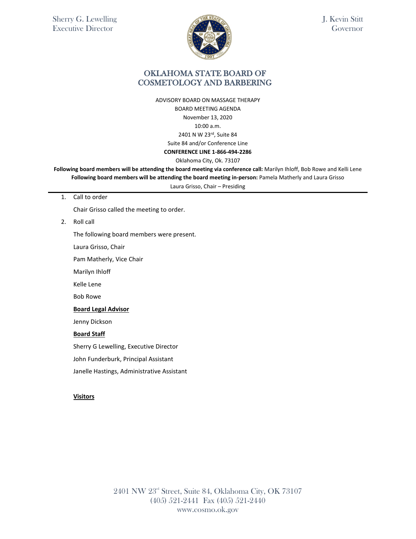

J. Kevin Stitt Governor

### OKLAHOMA STATE BOARD OF COSMETOLOGY AND BARBERING

ADVISORY BOARD ON MASSAGE THERAPY BOARD MEETING AGENDA November 13, 2020 10:00 a.m. 2401 N W 23rd, Suite 84 Suite 84 and/or Conference Line **CONFERENCE LINE 1-866-494-2286** 

Oklahoma City, Ok. 73107

**Following board members will be attending the board meeting via conference call:** Marilyn Ihloff, Bob Rowe and Kelli Lene **Following board members will be attending the board meeting in-person:** Pamela Matherly and Laura Grisso

Laura Grisso, Chair – Presiding

1. Call to order

Chair Grisso called the meeting to order.

2. Roll call

The following board members were present.

Laura Grisso, Chair

Pam Matherly, Vice Chair

Marilyn Ihloff

Kelle Lene

Bob Rowe

#### **Board Legal Advisor**

Jenny Dickson

#### **Board Staff**

Sherry G Lewelling, Executive Director

John Funderburk, Principal Assistant

Janelle Hastings, Administrative Assistant

### **Visitors**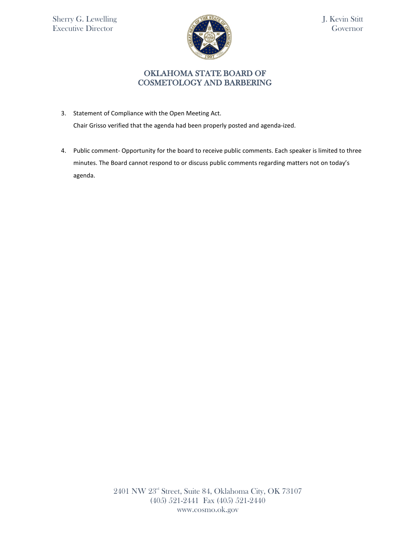

J. Kevin Stitt Governor

## OKLAHOMA STATE BOARD OF COSMETOLOGY AND BARBERING

3. Statement of Compliance with the Open Meeting Act.

Chair Grisso verified that the agenda had been properly posted and agenda-ized.

4. Public comment- Opportunity for the board to receive public comments. Each speaker is limited to three minutes. The Board cannot respond to or discuss public comments regarding matters not on today's agenda.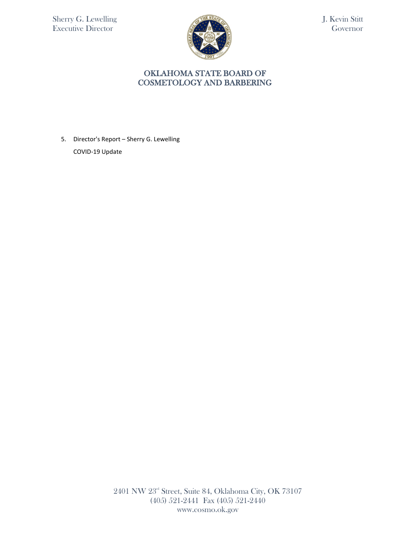

J. Kevin Stitt Governor

# OKLAHOMA STATE BOARD OF COSMETOLOGY AND BARBERING

5. Director's Report – Sherry G. Lewelling COVID-19 Update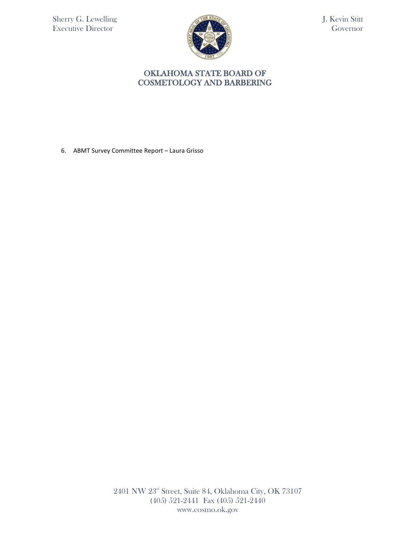

J. Kevin Stitt Governor

# OKLAHOMA STATE BOARD OF COSMETOLOGY AND BARBERING

6. ABMT Survey Committee Report – Laura Grisso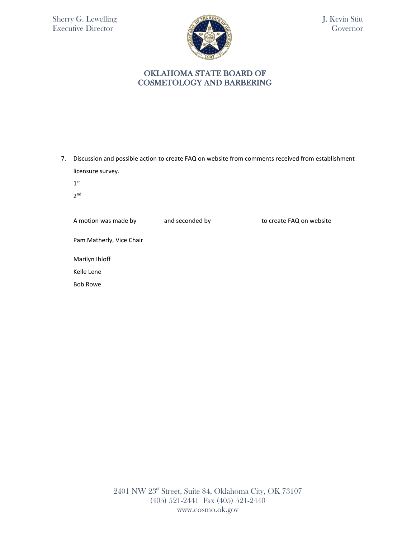

J. Kevin Stitt Governor

## OKLAHOMA STATE BOARD OF COSMETOLOGY AND BARBERING

7. Discussion and possible action to create FAQ on website from comments received from establishment licensure survey.

 $1<sup>st</sup>$ 

2nd

A motion was made by and seconded by to create FAQ on website

Pam Matherly, Vice Chair

Marilyn Ihloff

Kelle Lene

Bob Rowe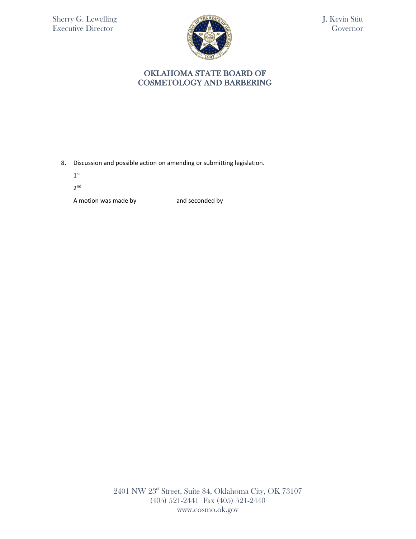

J. Kevin Stitt Governor

## OKLAHOMA STATE BOARD OF COSMETOLOGY AND BARBERING

8. Discussion and possible action on amending or submitting legislation.

 $\mathbf{1}^{\text{st}}$ 

2nd

A motion was made by and seconded by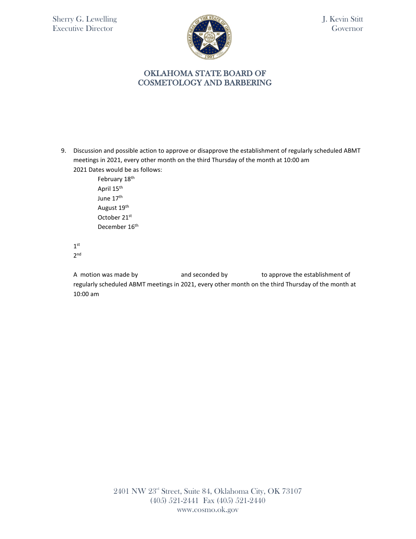

J. Kevin Stitt Governor

## OKLAHOMA STATE BOARD OF COSMETOLOGY AND BARBERING

9. Discussion and possible action to approve or disapprove the establishment of regularly scheduled ABMT meetings in 2021, every other month on the third Thursday of the month at 10:00 am 2021 Dates would be as follows:

> February 18<sup>th</sup> April 15<sup>th</sup> June 17<sup>th</sup> August 19th October 21st December 16<sup>th</sup>

 $1<sup>st</sup>$ 2nd

A motion was made by example and seconded by the approve the establishment of regularly scheduled ABMT meetings in 2021, every other month on the third Thursday of the month at 10:00 am